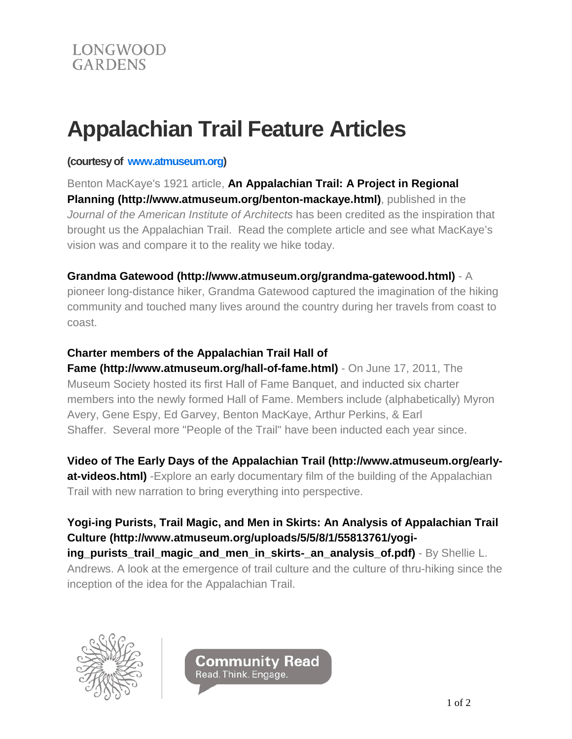# **Appalachian Trail Feature Articles**

#### **(courtesy of [www.atmuseum.org\)](http://www.atmuseum.org/)**

Benton MacKaye's 1921 article, **[An Appalachian Trail: A Project in Regional](http://www.atmuseum.org/benton-mackaye.html)  [Planning \(http://www.atmuseum.org/benton-mackaye.html\)](http://www.atmuseum.org/benton-mackaye.html)**, published in the *Journal of the American Institute of Architects* has been credited as the inspiration that brought us the Appalachian Trail. Read the complete article and see what MacKaye's vision was and compare it to the reality we hike today.

## **[Grandma Gatewood \(http://www.atmuseum.org/grandma-gatewood.html\)](http://www.atmuseum.org/grandma-gatewood.html)** - A

pioneer long-distance hiker, Grandma Gatewood captured the imagination of the hiking community and touched many lives around the country during her travels from coast to coast.

## **[Charter members of the Appalachian Trail Hall of](http://www.atmuseum.org/hall-of-fame.html)**

**Fame [\(http://www.atmuseum.org/hall-of-fame.html\)](http://www.atmuseum.org/hall-of-fame.html)** - On June 17, 2011, The Museum Society hosted its first Hall of Fame Banquet, and inducted six charter members into the newly formed Hall of Fame. Members include (alphabetically) Myron Avery, Gene Espy, Ed Garvey, Benton MacKaye, Arthur Perkins, & Earl Shaffer. Several more "People of the Trail" have been inducted each year since.

**Video of [The Early Days of the Appalachian Trail \(http://www.atmuseum.org/early](http://www.atmuseum.org/early-at-videos.html)[at-videos.html\)](http://www.atmuseum.org/early-at-videos.html)** -Explore an early documentary film of the building of the Appalachian Trail with new narration to bring everything into perspective.

**[Yogi-ing Purists, Trail Magic, and Men in Skirts: An](http://www.atmuseum.org/uploads/5/5/8/1/55813761/yogi-ing_purists_trail_magic_and_men_in_skirts-_an_analysis_of.pdf) Analysis of Appalachian Trail Culture [\(http://www.atmuseum.org/uploads/5/5/8/1/55813761/yogi](http://www.atmuseum.org/uploads/5/5/8/1/55813761/yogi-ing_purists_trail_magic_and_men_in_skirts-_an_analysis_of.pdf)[ing\\_purists\\_trail\\_magic\\_and\\_men\\_in\\_skirts-\\_an\\_analysis\\_of.pdf\)](http://www.atmuseum.org/uploads/5/5/8/1/55813761/yogi-ing_purists_trail_magic_and_men_in_skirts-_an_analysis_of.pdf)** - By Shellie L. Andrews. A look at the emergence of trail culture and the culture of thru-hiking since the inception of the idea for the Appalachian Trail.